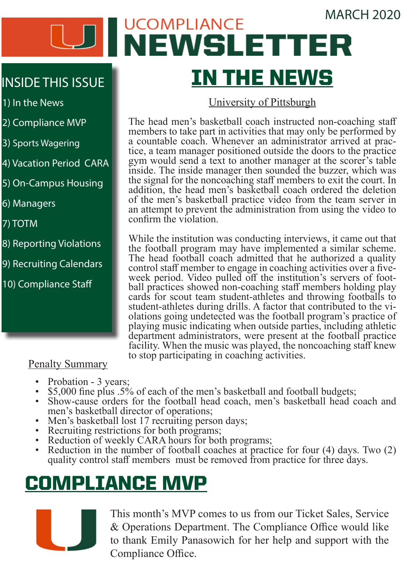#### MARCH 2020

# **JCOMPLIANCE** WEWSLETTER IN THE NEWS

#### University of Pittsburgh

The head men's basketball coach instructed non-coaching staff members to take part in activities that may only be performed by a countable coach. Whenever an administrator arrived at prac- tice, a team manager positioned outside the doors to the practice gym would send a text to another manager at the scorer's table inside. The inside manager then sounded the buzzer, which was the signal for the noncoaching staff members to exit the court. In addition, the head men's basketball coach ordered the deletion of the men's basketball practice video from the team server in an attempt to prevent the administration from using the video to confirm the violation.

While the institution was conducting interviews, it came out that the football program may have implemented a similar scheme. The head football coach admitted that he authorized a quality control staff member to engage in coaching activities over a five-<br>week period. Video pulled off the institution's servers of football practices showed non-coaching staff members holding play cards for scout team student-athletes and throwing footballs to student-athletes during drills. A factor that contributed to the violations going undetected was the football program's practice of playing music indicating when outside parties, including athletic department administrators, were present at the football practice facility. When the music was played, the noncoaching staff knew to stop participating in coaching activities.

#### Penalty Summary

- 
- 
- Probation 3 years;<br>• \$5,000 fine plus .5% of each of the men's basketball and football budgets;<br>• Show-cause orders for the football head coach, men's basketball head coach and<br>men's basketball director of operations;
- 
- 
- 
- Men's basketball lost 17 recruiting person days;<br>
Recruiting restrictions for both programs;<br>
Reduction of weekly CARA hours for both programs;<br>
Reduction in the number of football coaches at practice for four (4) quality control staff members must be removed from practice for three days.

## COMPLIANCE MVP



This month's MVP comes to us from our Ticket Sales, Service & Operations Department. The Compliance Office would like to thank Emily Panasowich for her help and support with the Compliance Office.

## INSIDE THIS ISSUE

1) In the News

- 2) Compliance MVP
- 3) Sports Wagering
- 4) Vacation Period CARA
- 5) On-Campus Housing

6) Managers

7) TOTM

- 8) Reporting Violations
- 9) Recruiting Calendars
- 10) Compliance Staff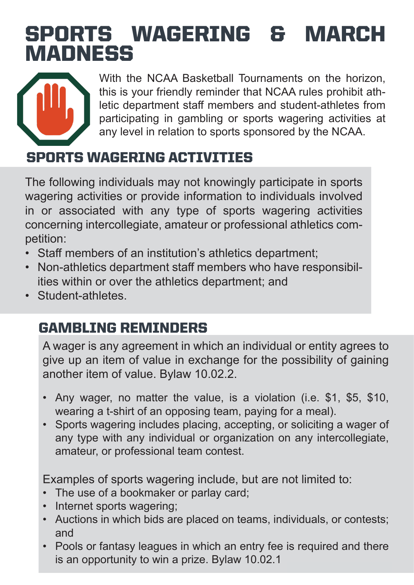## SPORTS WAGERING & MARCH **MADNESS**



With the NCAA Basketball Tournaments on the horizon, this is your friendly reminder that NCAA rules prohibit athletic department staff members and student-athletes from participating in gambling or sports wagering activities at any level in relation to sports sponsored by the NCAA.

## SPORTS WAGERING ACTIVITIES

The following individuals may not knowingly participate in sports wagering activities or provide information to individuals involved in or associated with any type of sports wagering activities concerning intercollegiate, amateur or professional athletics competition:

- Staff members of an institution's athletics department;
- Non-athletics department staff members who have responsibilities within or over the athletics department; and
- Student-athletes

## GAMBLING REMINDERS

A wager is any agreement in which an individual or entity agrees to give up an item of value in exchange for the possibility of gaining another item of value. Bylaw 10.02.2.

- Any wager, no matter the value, is a violation (i.e. \$1, \$5, \$10, wearing a t-shirt of an opposing team, paying for a meal).
- Sports wagering includes placing, accepting, or soliciting a wager of any type with any individual or organization on any intercollegiate, amateur, or professional team contest.

Examples of sports wagering include, but are not limited to:

- The use of a bookmaker or parlay card;
- Internet sports wagering;
- Auctions in which bids are placed on teams, individuals, or contests; and
- Pools or fantasy leagues in which an entry fee is required and there is an opportunity to win a prize. Bylaw 10.02.1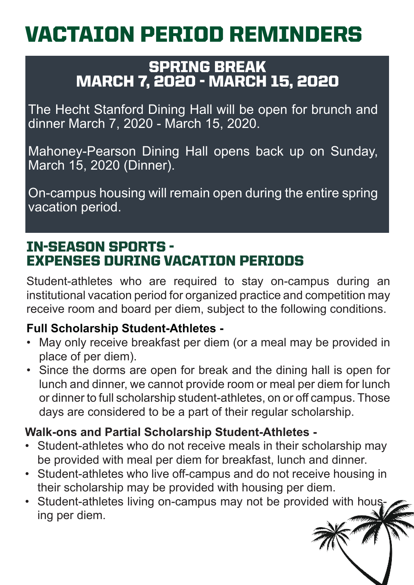# VACTAION PERIOD REMINDERS

### SPRING BREAK MARCH 7, 2020 - MARCH 15, 2020

The Hecht Stanford Dining Hall will be open for brunch and dinner March 7, 2020 - March 15, 2020.

Mahoney-Pearson Dining Hall opens back up on Sunday, March 15, 2020 (Dinner).

On-campus housing will remain open during the entire spring vacation period.

## IN-SEASON SPORTS - EXPENSES DURING VACATION PERIODS

Student-athletes who are required to stay on-campus during an institutional vacation period for organized practice and competition may receive room and board per diem, subject to the following conditions.

#### **Full Scholarship Student-Athletes -**

- May only receive breakfast per diem (or a meal may be provided in place of per diem).
- Since the dorms are open for break and the dining hall is open for lunch and dinner, we cannot provide room or meal per diem for lunch or dinner to full scholarship student-athletes, on or off campus. Those days are considered to be a part of their regular scholarship.

### **Walk-ons and Partial Scholarship Student-Athletes -**

- Student-athletes who do not receive meals in their scholarship may be provided with meal per diem for breakfast, lunch and dinner.
- Student-athletes who live off-campus and do not receive housing in their scholarship may be provided with housing per diem.
- Student-athletes living on-campus may not be provided with housing per diem.

Business Newsletter 4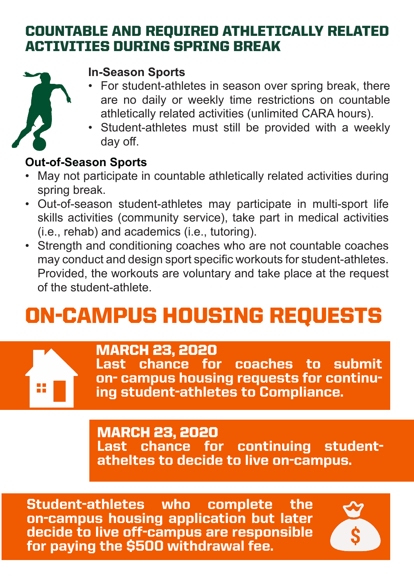## COUNTABLE AND REQUIRED ATHLETICALLY RELATED ACTIVITIES DURING SPRING BREAK



#### **In-Season Sports**

- For student-athletes in season over spring break, there are no daily or weekly time restrictions on countable athletically related activities (unlimited CARA hours).
- Student-athletes must still be provided with a weekly day off.

### **Out-of-Season Sports**

- May not participate in countable athletically related activities during spring break.
- Out-of-season student-athletes may participate in multi-sport life skills activities (community service), take part in medical activities (i.e., rehab) and academics (i.e., tutoring).
- Strength and conditioning coaches who are not countable coaches may conduct and design sport specific workouts for student-athletes. Provided, the workouts are voluntary and take place at the request of the student-athlete.

# ON-CAMPUS HOUSING REQUESTS



### MARCH 23, 2020

Last chance for coaches to submit on- campus housing requests for continu- ing student-athletes to Compliance.

### MARCH 23, 2020

Last chance for continuing studentatheltes to decide to live on-campus.

Student-athletes who complete the on-campus housing application but later decide to live off-campus are responsible for paying the \$500 withdrawal fee.

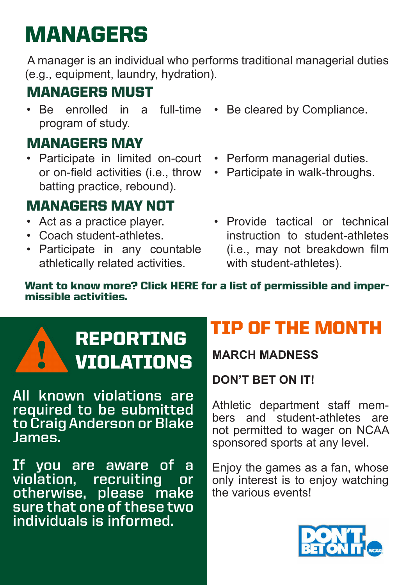# MANAGERS

 A manager is an individual who performs traditional managerial duties (e.g., equipment, laundry, hydration).

## MANAGERS MUST

• Be enrolled in a full-time • Be cleared by Compliance. program of study.

## MANAGERS MAY

• Participate in limited on-court or on-field activities (i.e., throw batting practice, rebound).

## MANAGERS MAY NOT

- Act as a practice player.
- Coach student-athletes.
- Participate in any countable athletically related activities.
- 
- Perform managerial duties.
- Participate in walk-throughs.
- Provide tactical or technical instruction to student-athletes (i.e., may not breakdown film with student-athletes).

#### Want to know more? Click [HERE](https://hurricanesports.com/documents/2020/3/9/Managers_Permissible_Impermissible_Duties.pdf) for a list of permissible and impermissible activities.



**All known violations are required to be submitted to Craig Anderson or Blake James.** 

**If you are aware of a violation, recruiting or otherwise, please make sure that one of these two individuals is informed.** 

# REPORTING TIP OF THE MONTH

### **DON'T BET ON IT!**

Athletic department staff members and student-athletes are not permitted to wager on NCAA sponsored sports at any level.

Enjoy the games as a fan, whose only interest is to enjoy watching the various events!